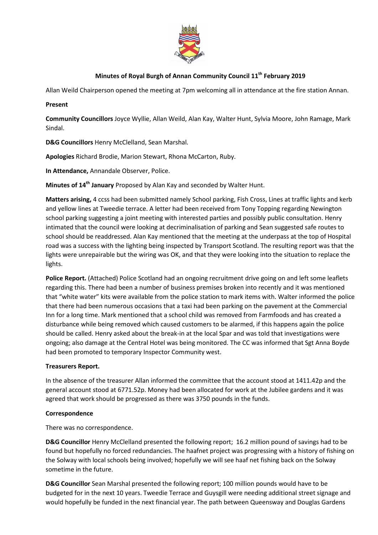

# **Minutes of Royal Burgh of Annan Community Council 11th February 2019**

Allan Weild Chairperson opened the meeting at 7pm welcoming all in attendance at the fire station Annan.

### **Present**

**Community Councillors** Joyce Wyllie, Allan Weild, Alan Kay, Walter Hunt, Sylvia Moore, John Ramage, Mark Sindal.

**D&G Councillors** Henry McClelland, Sean Marshal.

**Apologies** Richard Brodie, Marion Stewart, Rhona McCarton, Ruby.

**In Attendance,** Annandale Observer, Police.

**Minutes of 14th January** Proposed by Alan Kay and seconded by Walter Hunt.

**Matters arising,** 4 ccss had been submitted namely School parking, Fish Cross, Lines at traffic lights and kerb and yellow lines at Tweedie terrace. A letter had been received from Tony Topping regarding Newington school parking suggesting a joint meeting with interested parties and possibly public consultation. Henry intimated that the council were looking at decriminalisation of parking and Sean suggested safe routes to school should be readdressed. Alan Kay mentioned that the meeting at the underpass at the top of Hospital road was a success with the lighting being inspected by Transport Scotland. The resulting report was that the lights were unrepairable but the wiring was OK, and that they were looking into the situation to replace the lights.

**Police Report.** (Attached) Police Scotland had an ongoing recruitment drive going on and left some leaflets regarding this. There had been a number of business premises broken into recently and it was mentioned that "white water" kits were available from the police station to mark items with. Walter informed the police that there had been numerous occasions that a taxi had been parking on the pavement at the Commercial Inn for a long time. Mark mentioned that a school child was removed from Farmfoods and has created a disturbance while being removed which caused customers to be alarmed, if this happens again the police should be called. Henry asked about the break-in at the local Spar and was told that investigations were ongoing; also damage at the Central Hotel was being monitored. The CC was informed that Sgt Anna Boyde had been promoted to temporary Inspector Community west.

### **Treasurers Report.**

In the absence of the treasurer Allan informed the committee that the account stood at 1411.42p and the general account stood at 6771.52p. Money had been allocated for work at the Jubilee gardens and it was agreed that work should be progressed as there was 3750 pounds in the funds.

### **Correspondence**

There was no correspondence.

**D&G Councillor** Henry McClelland presented the following report; 16.2 million pound of savings had to be found but hopefully no forced redundancies. The haafnet project was progressing with a history of fishing on the Solway with local schools being involved; hopefully we will see haaf net fishing back on the Solway sometime in the future.

**D&G Councillor** Sean Marshal presented the following report; 100 million pounds would have to be budgeted for in the next 10 years. Tweedie Terrace and Guysgill were needing additional street signage and would hopefully be funded in the next financial year. The path between Queensway and Douglas Gardens